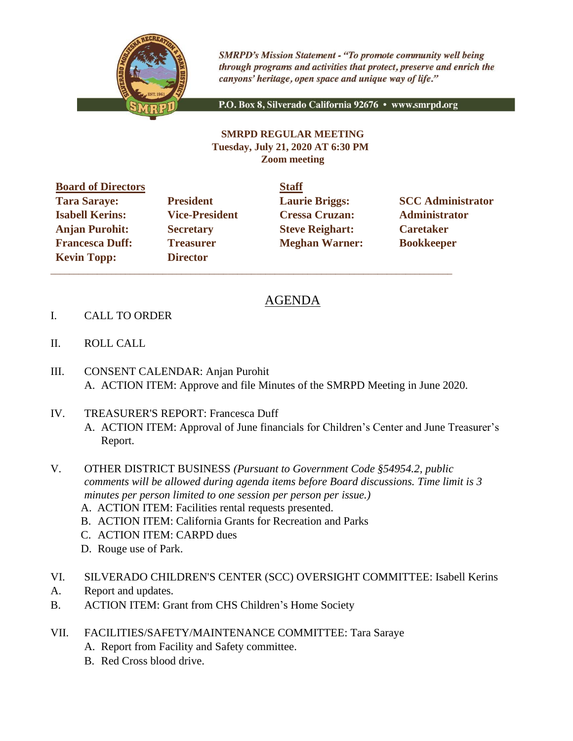

**SMRPD's Mission Statement - "To promote community well being** through programs and activities that protect, preserve and enrich the canyons' heritage, open space and unique way of life."

P.O. Box 8, Silverado California 92676 · www.smrpd.org

## **SMRPD REGULAR MEETING Tuesday, July 21, 2020 AT 6:30 PM Zoom meeting**

**Board of Directors Staff Tara Saraye: President Laurie Briggs: SCC Administrator Isabell Kerins: Vice-President Cressa Cruzan: Administrator Anjan Purohit: Secretary Steve Reighart: Caretaker Francesca Duff:** Treasurer **Meghan Warner:** Bookkeeper **Kevin Topp: Director** 

 $\_$  ,  $\_$  ,  $\_$  ,  $\_$  ,  $\_$  ,  $\_$  ,  $\_$  ,  $\_$  ,  $\_$  ,  $\_$  ,  $\_$  ,  $\_$  ,  $\_$  ,  $\_$  ,  $\_$  ,  $\_$  ,  $\_$  ,  $\_$  ,  $\_$  ,  $\_$  ,  $\_$  ,  $\_$  ,  $\_$  ,  $\_$  ,  $\_$  ,  $\_$  ,  $\_$  ,  $\_$  ,  $\_$  ,  $\_$  ,  $\_$  ,  $\_$  ,  $\_$  ,  $\_$  ,  $\_$  ,  $\_$  ,  $\_$  ,

## AGENDA

- I. CALL TO ORDER
- II. ROLL CALL
- III. CONSENT CALENDAR: Anjan Purohit A. ACTION ITEM: Approve and file Minutes of the SMRPD Meeting in June 2020.
- IV. TREASURER'S REPORT: Francesca Duff A. ACTION ITEM: Approval of June financials for Children's Center and June Treasurer's Report.
- V. OTHER DISTRICT BUSINESS *(Pursuant to Government Code §54954.2, public comments will be allowed during agenda items before Board discussions. Time limit is 3 minutes per person limited to one session per person per issue.)*
	- A. ACTION ITEM: Facilities rental requests presented.
	- B. ACTION ITEM: California Grants for Recreation and Parks
	- C. ACTION ITEM: CARPD dues
	- D. Rouge use of Park.
- VI. SILVERADO CHILDREN'S CENTER (SCC) OVERSIGHT COMMITTEE: Isabell Kerins
- A. Report and updates.
- B. ACTION ITEM: Grant from CHS Children's Home Society
- VII. FACILITIES/SAFETY/MAINTENANCE COMMITTEE: Tara Saraye
	- A. Report from Facility and Safety committee.
	- B. Red Cross blood drive.